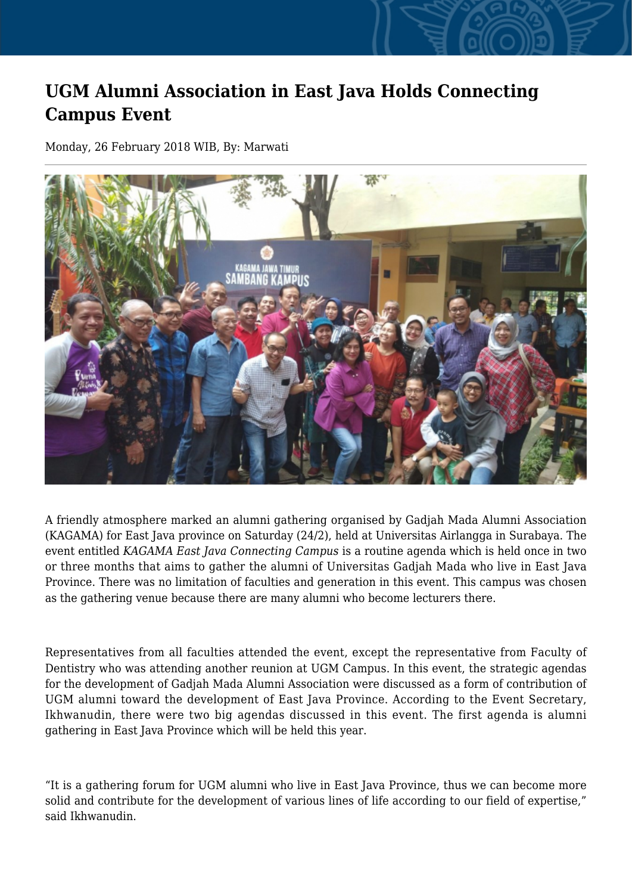## **UGM Alumni Association in East Java Holds Connecting Campus Event**

Monday, 26 February 2018 WIB, By: Marwati



A friendly atmosphere marked an alumni gathering organised by Gadjah Mada Alumni Association (KAGAMA) for East Java province on Saturday (24/2), held at Universitas Airlangga in Surabaya. The event entitled *KAGAMA East Java Connecting Campus* is a routine agenda which is held once in two or three months that aims to gather the alumni of Universitas Gadjah Mada who live in East Java Province. There was no limitation of faculties and generation in this event. This campus was chosen as the gathering venue because there are many alumni who become lecturers there.

Representatives from all faculties attended the event, except the representative from Faculty of Dentistry who was attending another reunion at UGM Campus. In this event, the strategic agendas for the development of Gadjah Mada Alumni Association were discussed as a form of contribution of UGM alumni toward the development of East Java Province. According to the Event Secretary, Ikhwanudin, there were two big agendas discussed in this event. The first agenda is alumni gathering in East Java Province which will be held this year.

"It is a gathering forum for UGM alumni who live in East Java Province, thus we can become more solid and contribute for the development of various lines of life according to our field of expertise," said Ikhwanudin.